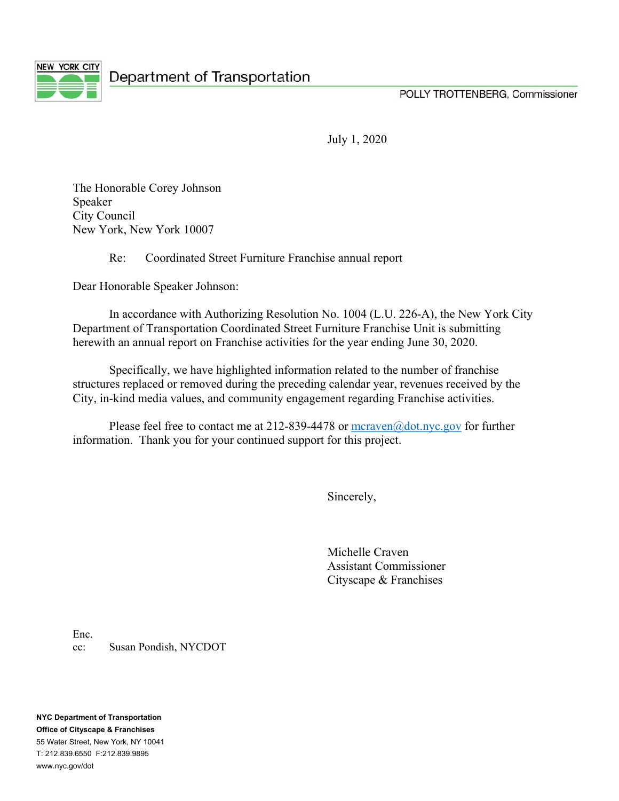

POLLY TROTTENBERG, Commissioner

July 1, 2020

The Honorable Corey Johnson Speaker City Council New York, New York 10007

Re: Coordinated Street Furniture Franchise annual report

Dear Honorable Speaker Johnson:

In accordance with Authorizing Resolution No. 1004 (L.U. 226-A), the New York City Department of Transportation Coordinated Street Furniture Franchise Unit is submitting herewith an annual report on Franchise activities for the year ending June 30, 2020.

Specifically, we have highlighted information related to the number of franchise structures replaced or removed during the preceding calendar year, revenues received by the City, in-kind media values, and community engagement regarding Franchise activities.

Please feel free to contact me at 212-839-4478 or  $meraven@dotenv..gov$  for further information. Thank you for your continued support for this project.

Sincerely,

 Michelle Craven Assistant Commissioner Cityscape & Franchises

Enc. cc: Susan Pondish, NYCDOT

**NYC Department of Transportation Office of Cityscape & Franchises**  55 Water Street, New York, NY 10041 T: 212.839.6550 F:212.839.9895 www.nyc.gov/dot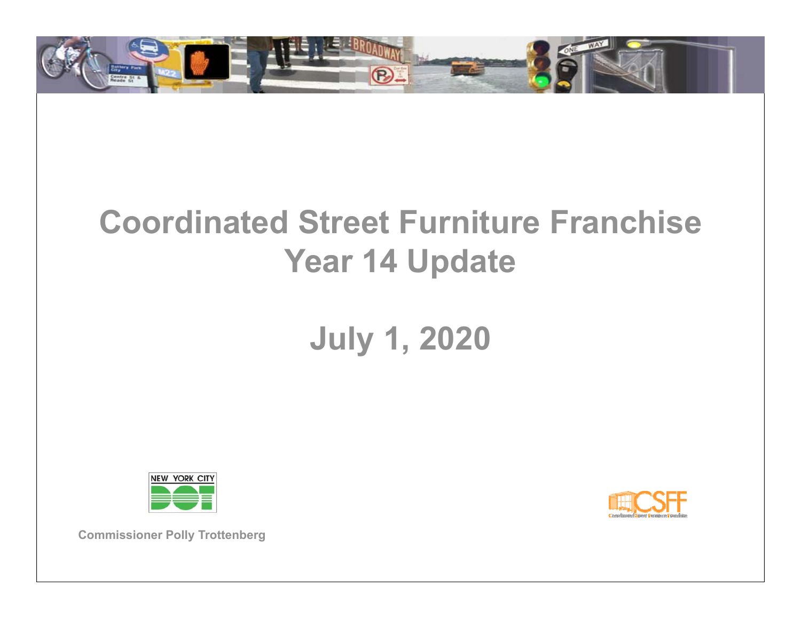

## **Coordinated Street Furniture FranchiseYear 14 Update**

## **July 1, 2020**





**Commissioner Polly Trottenberg**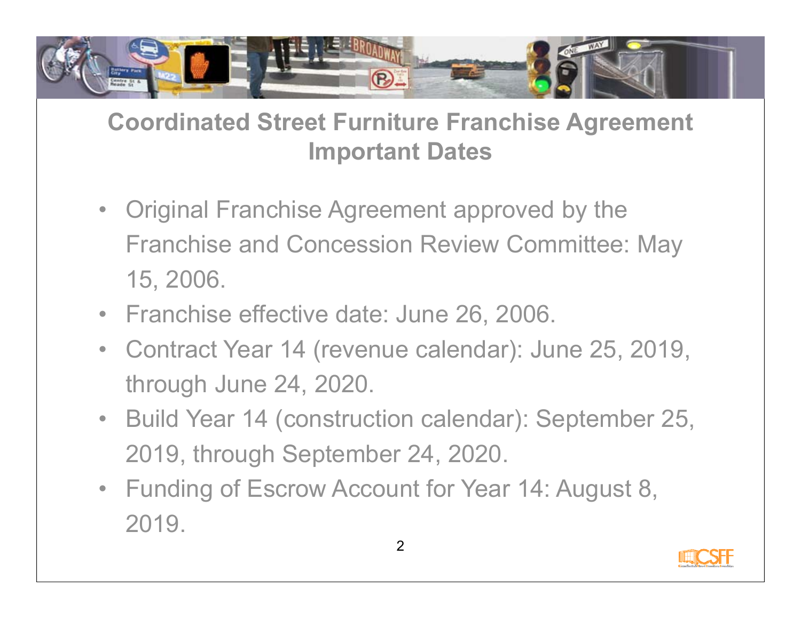

## **Coordinated Street Furniture Franchise Agreement Important Dates**

- Original Franchise Agreement approved by the Franchise and Concession Review Committee: May 15, 2006.
- Franchise effective date: June 26, 2006.
- Contract Year 14 (revenue calendar): June 25, 2019, through June 24, 2020.
- Build Year 14 (construction calendar): September 25, 2019, through September 24, 2020.
- Funding of Escrow Account for Year 14: August 8, 2019.

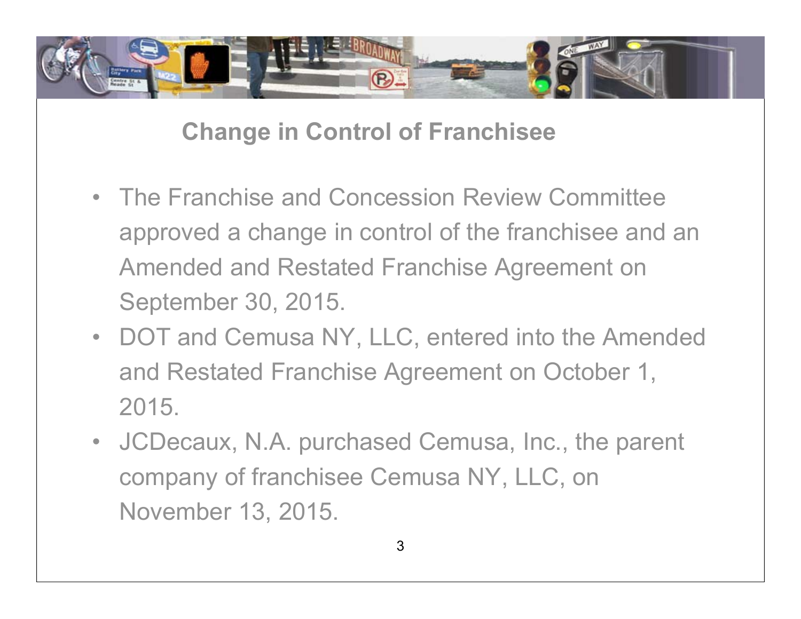

**Change in Control of Franchisee**

- The Franchise and Concession Review Committee approved a change in control of the franchisee and an Amended and Restated Franchise Agreement on September 30, 2015.
- DOT and Cemusa NY, LLC, entered into the Amended and Restated Franchise Agreement on October 1, 2015.
- JCDecaux, N.A. purchased Cemusa, Inc., the parent company of franchisee Cemusa NY, LLC, on November 13, 2015.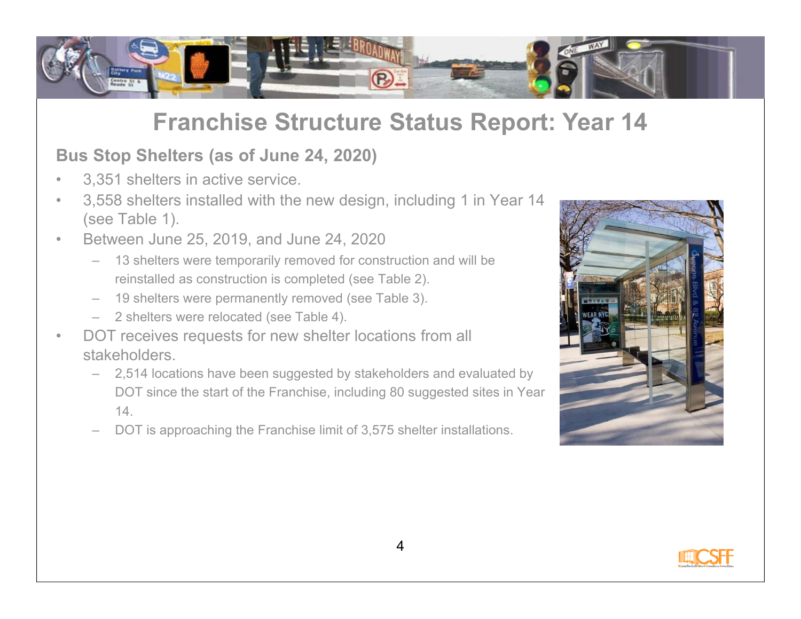

## **Franchise Structure Status Report: Year 14**

#### **Bus Stop Shelters (as of June 24, 2020)**

- •3,351 shelters in active service.
- • 3,558 shelters installed with the new design, including 1 in Year 14 (see Table 1).
- • Between June 25, 2019, and June 24, 2020
	- 13 shelters were temporarily removed for construction and will be reinstalled as construction is completed (see Table 2).
	- 19 shelters were permanently removed (see Table 3).
	- 2 shelters were relocated (see Table 4).
- • DOT receives requests for new shelter locations from all stakeholders.
	- 2,514 locations have been suggested by stakeholders and evaluated by DOT since the start of the Franchise, including 80 suggested sites in Year 14.
	- DOT is approaching the Franchise limit of 3,575 shelter installations.



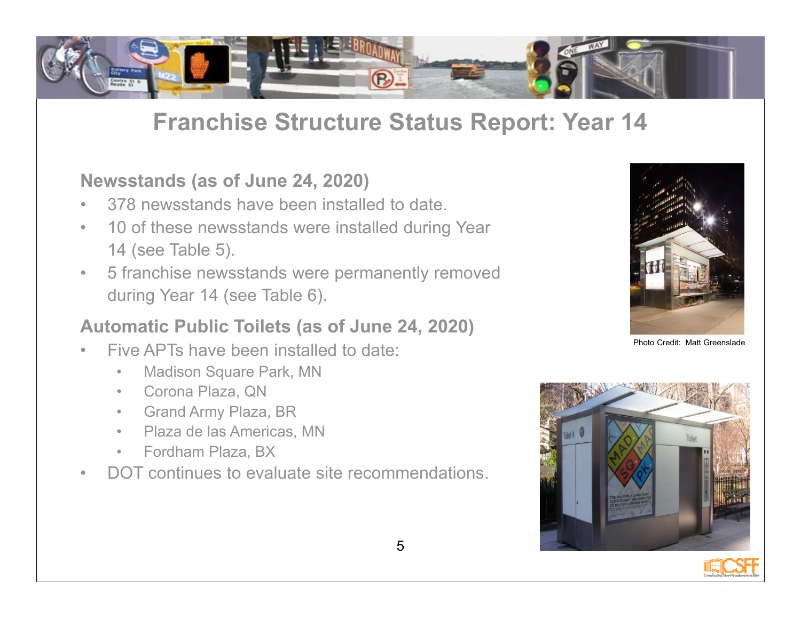

## **Franchise Structure Status Report: Year 14**

#### **Newsstands (as of June 24, 2020)**

- •378 newsstands have been installed to date.
- • 10 of these newsstands were installed during Year 14 (see Table 5).
- $\bullet$  5 franchise newsstands were permanently removed during Year 14 (see Table 6).

### **Automatic Public Toilets (as of June 24, 2020)**

- • Five APTs have been installed to date:
	- •Madison Square Park, MN
	- •Corona Plaza, QN
	- Grand Army Plaza, BR
	- Plaza de las Americas, MN
	- Fordham Plaza, BX
- •DOT continues to evaluate site recommendations.



Photo Credit: Matt Greenslade



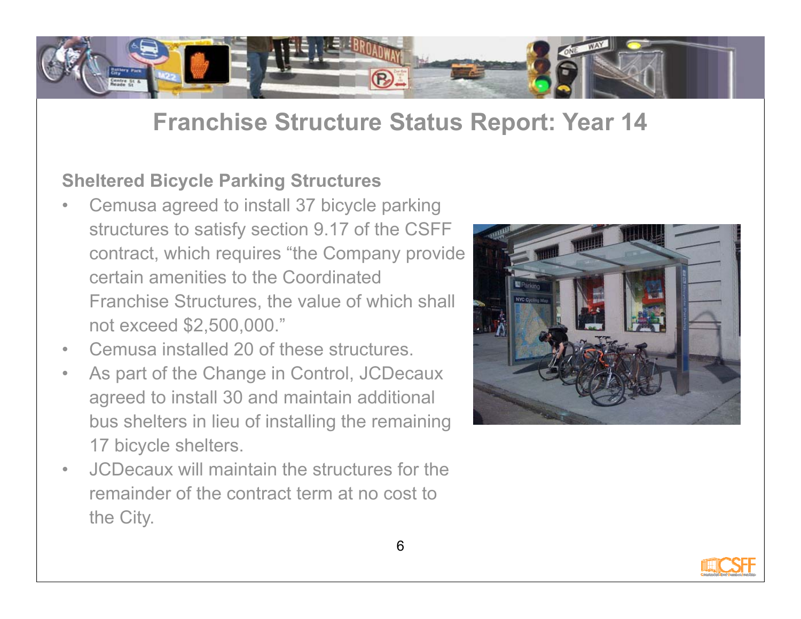

## **Franchise Structure Status Report: Year 14**

#### **Sheltered Bicycle Parking Structures**

- • Cemusa agreed to install 37 bicycle parking structures to satisfy section 9.17 of the CSFF contract, which requires "the Company provide certain amenities to the Coordinated Franchise Structures, the value of which shall not exceed \$2,500,000."
- •Cemusa installed 20 of these structures.
- • As part of the Change in Control, JCDecaux agreed to install 30 and maintain additional bus shelters in lieu of installing the remaining 17 bicycle shelters.
- • JCDecaux will maintain the structures for the remainder of the contract term at no cost to the City.



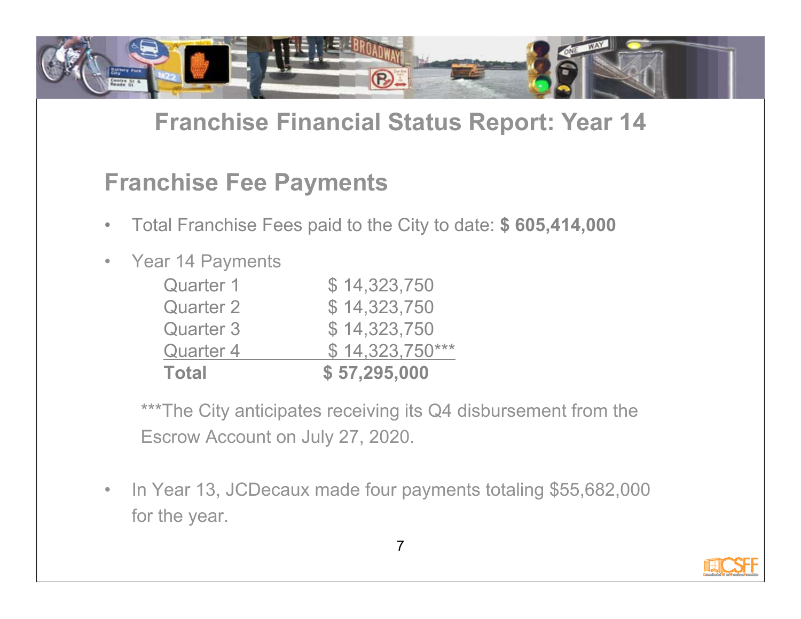

## **Franchise Financial Status Report: Year 14**

## **Franchise Fee Payments**

- $\bullet$ Total Franchise Fees paid to the City to date: **\$ 605,414,000**
- $\bullet$ Year 14 Payments

| Quarter 1    | \$14,323,750     |
|--------------|------------------|
| Quarter 2    | \$14,323,750     |
| Quarter 3    | \$14,323,750     |
| Quarter 4    | $$14,323,750***$ |
| <b>Total</b> | \$57,295,000     |

\*\*\*The City anticipates receiving its Q4 disbursement from the Escrow Account on July 27, 2020.

 $\bullet$  In Year 13, JCDecaux made four payments totaling \$55,682,000 for the year.

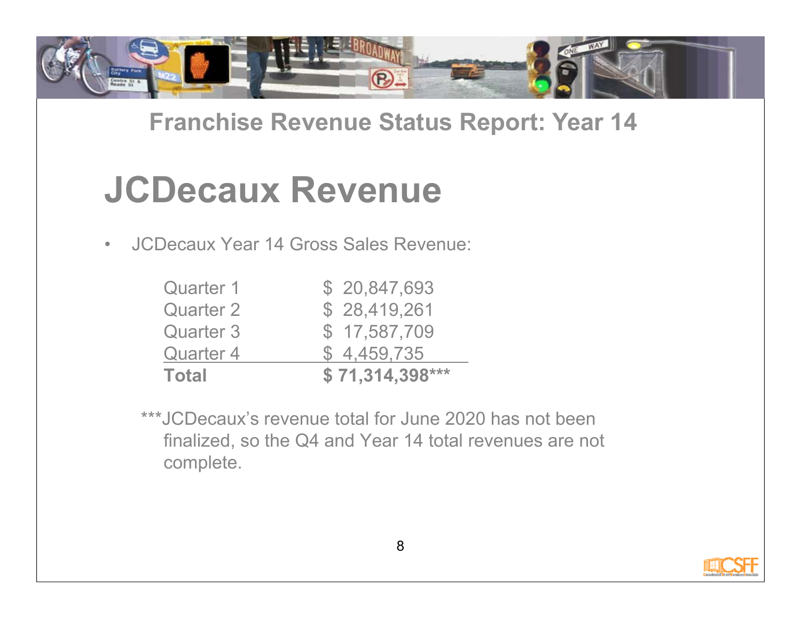

## **Franchise Revenue Status Report: Year 14**

# **JCDecaux Revenue**

 $\bullet$ JCDecaux Year 14 Gross Sales Revenue:

| Quarter 1        | \$20,847,693    |
|------------------|-----------------|
| <b>Quarter 2</b> | \$28,419,261    |
| <b>Quarter 3</b> | \$17,587,709    |
| <b>Quarter 4</b> | \$4,459,735     |
| <b>Total</b>     | \$71,314,398*** |

\*\*\*JCDecaux's revenue total for June 2020 has not been finalized, so the Q4 and Year 14 total revenues are not complete.

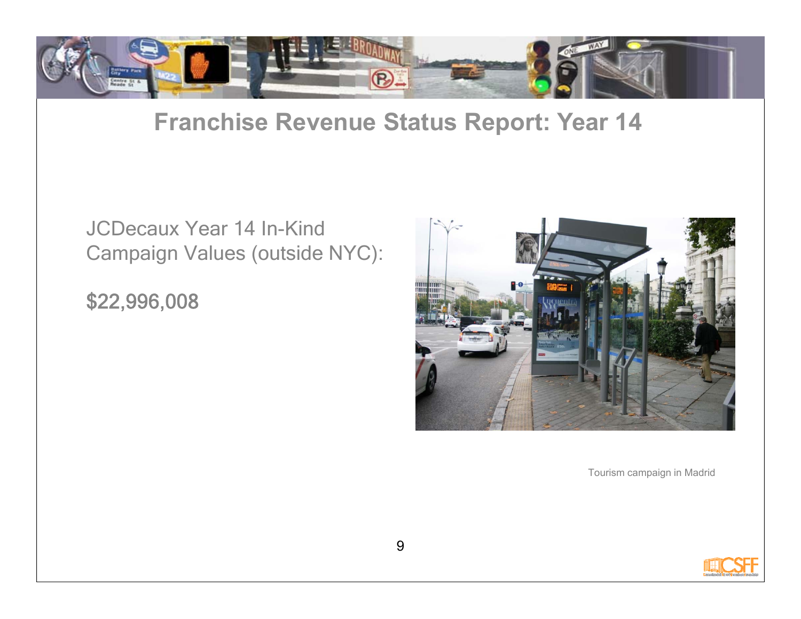

## **Franchise Revenue Status Report: Year 14**

### JCDecaux Year 14 In-Kind Campaign Values (outside NYC):

\$22,996,008



Tourism campaign in Madrid

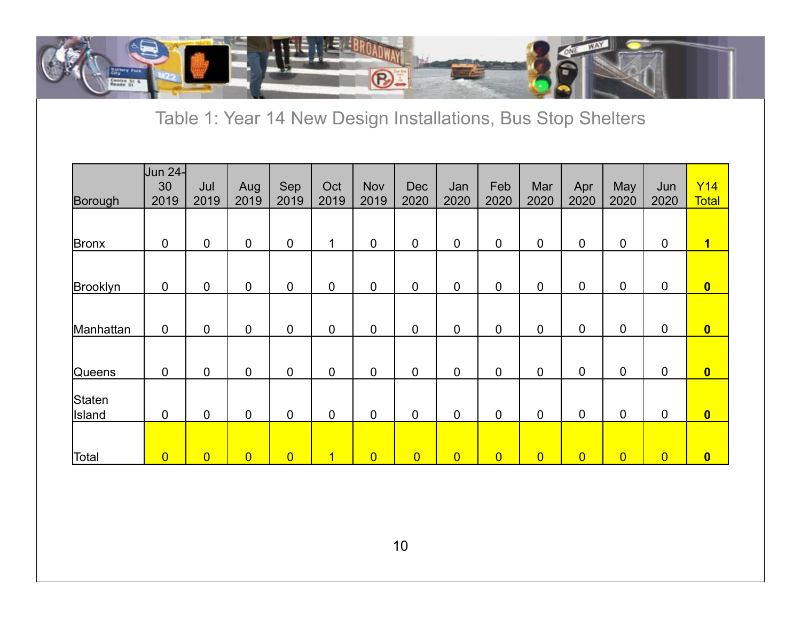

Table 1: Year 14 New Design Installations, Bus Stop Shelters

| Borough                 | <b>Jun 24-</b><br>30<br>2019 | Jul<br>2019    | Aug<br>2019    | Sep<br>2019    | Oct<br>2019    | <b>Nov</b><br>2019 | <b>Dec</b><br>2020 | Jan<br>2020    | Feb<br>2020    | Mar<br>2020    | Apr<br>2020    | <b>May</b><br>2020 | Jun<br>2020    | Y14<br><b>Total</b>     |
|-------------------------|------------------------------|----------------|----------------|----------------|----------------|--------------------|--------------------|----------------|----------------|----------------|----------------|--------------------|----------------|-------------------------|
| Bronx                   | $\mathbf 0$                  | $\mathbf 0$    | $\mathbf 0$    | $\mathbf 0$    | -1             | $\overline{0}$     | 0                  | $\overline{0}$ | $\mathbf 0$    | $\mathbf 0$    | $\mathbf 0$    | $\mathbf 0$        | $\overline{0}$ | 1                       |
| Brooklyn                | $\mathbf 0$                  | $\mathbf 0$    | $\pmb{0}$      | $\mathbf 0$    | $\mathbf 0$    | $\mathbf 0$        | 0                  | $\mathbf 0$    | $\mathbf 0$    | $\mathbf 0$    | $\pmb{0}$      | $\mathbf 0$        | $\mathbf 0$    | $\overline{\mathbf{0}}$ |
| Manhattan               | $\mathbf 0$                  | $\mathbf 0$    | $\pmb{0}$      | $\mathbf 0$    | $\mathbf 0$    | $\mathbf 0$        | 0                  | $\mathbf 0$    | $\mathbf 0$    | 0              | $\mathbf 0$    | $\mathbf 0$        | $\mathbf 0$    | $\overline{\mathbf{0}}$ |
| <b>Queens</b>           | $\mathbf 0$                  | $\mathbf 0$    | $\pmb{0}$      | $\pmb{0}$      | $\mathbf 0$    | $\mathbf 0$        | $\mathbf 0$        | $\mathbf 0$    | $\pmb{0}$      | $\mathbf 0$    | $\mathbf 0$    | $\mathbf 0$        | $\mathbf 0$    | $\bullet$               |
| Staten<br><b>Island</b> | $\mathbf 0$                  | $\overline{0}$ | $\mathbf 0$    | $\mathbf 0$    | $\mathbf 0$    | $\pmb{0}$          | 0                  | $\mathbf 0$    | $\mathbf 0$    | $\mathbf 0$    | $\mathbf 0$    | $\mathbf 0$        | $\overline{0}$ | $\overline{\mathbf{0}}$ |
| Total                   | $\overline{0}$               | $\overline{0}$ | $\overline{0}$ | $\overline{0}$ | $\overline{1}$ | $\overline{0}$     | $\overline{0}$     | $\overline{0}$ | $\overline{0}$ | $\overline{0}$ | $\overline{0}$ | $\overline{0}$     | $\overline{0}$ | $\boldsymbol{0}$        |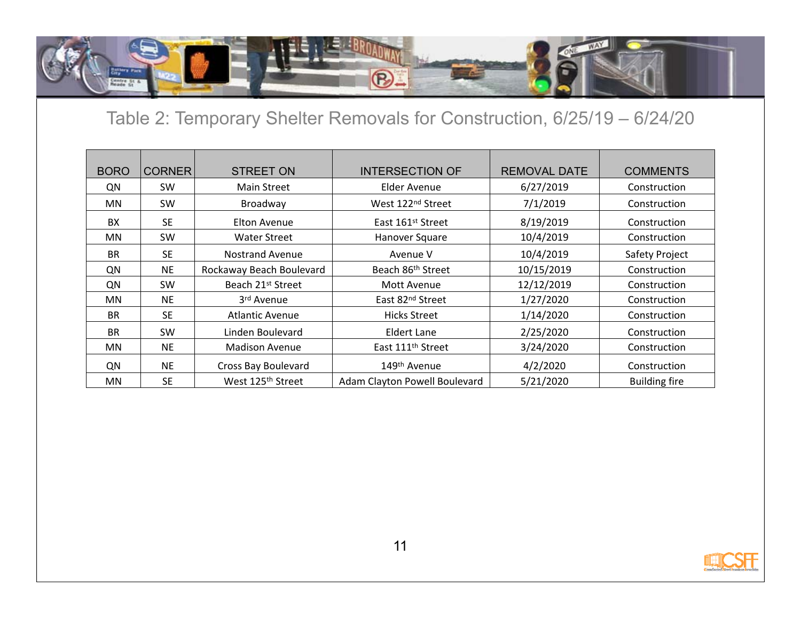

### Table 2: Temporary Shelter Removals for Construction, 6/25/19 – 6/24/20

| <b>BORO</b> | <b>CORNER</b> | <b>STREET ON</b>              | <b>INTERSECTION OF</b>        | <b>REMOVAL DATE</b> | <b>COMMENTS</b>      |
|-------------|---------------|-------------------------------|-------------------------------|---------------------|----------------------|
| QN          | <b>SW</b>     | <b>Main Street</b>            | Elder Avenue                  | 6/27/2019           | Construction         |
| MN          | <b>SW</b>     | Broadway                      | West 122 <sup>nd</sup> Street | 7/1/2019            | Construction         |
| <b>BX</b>   | <b>SE</b>     | Elton Avenue                  | East 161st Street             | 8/19/2019           | Construction         |
| MN.         | <b>SW</b>     | <b>Water Street</b>           | Hanover Square                | 10/4/2019           | Construction         |
| <b>BR</b>   | <b>SE</b>     | <b>Nostrand Avenue</b>        | Avenue V                      | 10/4/2019           | Safety Project       |
| QN          | <b>NE</b>     | Rockaway Beach Boulevard      | Beach 86 <sup>th</sup> Street | 10/15/2019          | Construction         |
| QN          | <b>SW</b>     | Beach 21st Street             | Mott Avenue                   | 12/12/2019          | Construction         |
| MN.         | <b>NE</b>     | 3rd Avenue                    | East 82 <sup>nd</sup> Street  | 1/27/2020           | Construction         |
| <b>BR</b>   | <b>SE</b>     | <b>Atlantic Avenue</b>        | <b>Hicks Street</b>           | 1/14/2020           | Construction         |
| <b>BR</b>   | <b>SW</b>     | Linden Boulevard              | Eldert Lane                   | 2/25/2020           | Construction         |
| MN          | <b>NE</b>     | <b>Madison Avenue</b>         | East 111 <sup>th</sup> Street | 3/24/2020           | Construction         |
| QN          | <b>NE</b>     | Cross Bay Boulevard           | 149 <sup>th</sup> Avenue      | 4/2/2020            | Construction         |
| MN.         | <b>SE</b>     | West 125 <sup>th</sup> Street | Adam Clayton Powell Boulevard | 5/21/2020           | <b>Building fire</b> |

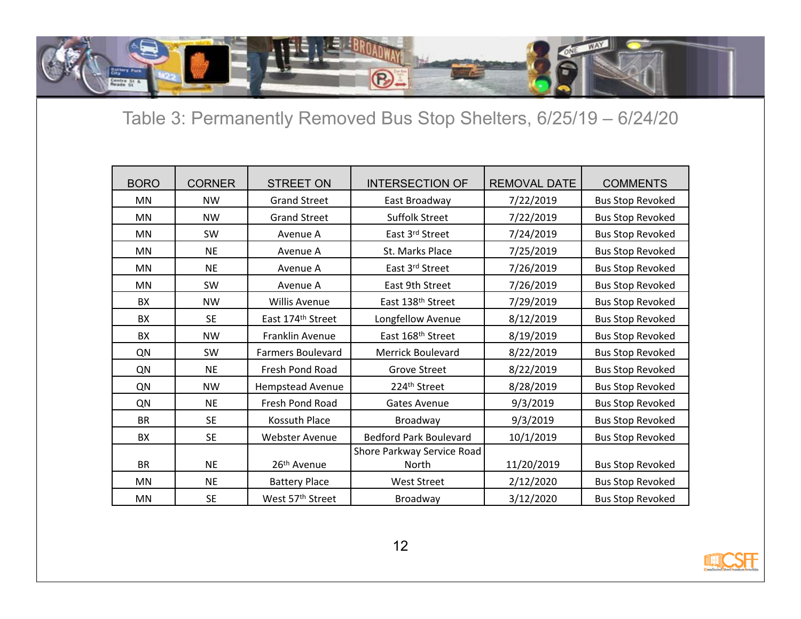

#### Table 3: Permanently Removed Bus Stop Shelters, 6/25/19 – 6/24/2 0

| <b>BORO</b> | <b>CORNER</b> | <b>STREET ON</b>         | <b>INTERSECTION OF</b>              | <b>REMOVAL DATE</b> | <b>COMMENTS</b>         |
|-------------|---------------|--------------------------|-------------------------------------|---------------------|-------------------------|
| <b>MN</b>   | <b>NW</b>     | <b>Grand Street</b>      | East Broadway                       | 7/22/2019           | <b>Bus Stop Revoked</b> |
| MN          | <b>NW</b>     | <b>Grand Street</b>      | <b>Suffolk Street</b>               | 7/22/2019           | <b>Bus Stop Revoked</b> |
| <b>MN</b>   | SW            | Avenue A                 | East 3rd Street                     | 7/24/2019           | <b>Bus Stop Revoked</b> |
| MN          | <b>NE</b>     | Avenue A                 | St. Marks Place                     | 7/25/2019           | <b>Bus Stop Revoked</b> |
| MN          | <b>NE</b>     | Avenue A                 | East 3rd Street                     | 7/26/2019           | <b>Bus Stop Revoked</b> |
| <b>MN</b>   | SW            | Avenue A                 | East 9th Street                     | 7/26/2019           | <b>Bus Stop Revoked</b> |
| BX          | <b>NW</b>     | <b>Willis Avenue</b>     | East 138th Street                   | 7/29/2019           | <b>Bus Stop Revoked</b> |
| BX          | <b>SE</b>     | East 174th Street        | Longfellow Avenue                   | 8/12/2019           | <b>Bus Stop Revoked</b> |
| BX          | <b>NW</b>     | Franklin Avenue          | East 168 <sup>th</sup> Street       | 8/19/2019           | <b>Bus Stop Revoked</b> |
| QN          | SW            | <b>Farmers Boulevard</b> | <b>Merrick Boulevard</b>            | 8/22/2019           | <b>Bus Stop Revoked</b> |
| QN          | <b>NE</b>     | Fresh Pond Road          | <b>Grove Street</b>                 | 8/22/2019           | <b>Bus Stop Revoked</b> |
| QN          | <b>NW</b>     | Hempstead Avenue         | 224th Street                        | 8/28/2019           | <b>Bus Stop Revoked</b> |
| QN          | <b>NE</b>     | <b>Fresh Pond Road</b>   | Gates Avenue                        | 9/3/2019            | <b>Bus Stop Revoked</b> |
| <b>BR</b>   | <b>SE</b>     | <b>Kossuth Place</b>     | Broadway                            | 9/3/2019            | <b>Bus Stop Revoked</b> |
| BX          | <b>SE</b>     | <b>Webster Avenue</b>    | <b>Bedford Park Boulevard</b>       | 10/1/2019           | <b>Bus Stop Revoked</b> |
| <b>BR</b>   | <b>NE</b>     | 26 <sup>th</sup> Avenue  | Shore Parkway Service Road<br>North | 11/20/2019          | <b>Bus Stop Revoked</b> |
| MN          | <b>NE</b>     | <b>Battery Place</b>     | <b>West Street</b>                  | 2/12/2020           | <b>Bus Stop Revoked</b> |
| MN          | <b>SE</b>     | West 57th Street         | Broadway                            | 3/12/2020           | <b>Bus Stop Revoked</b> |

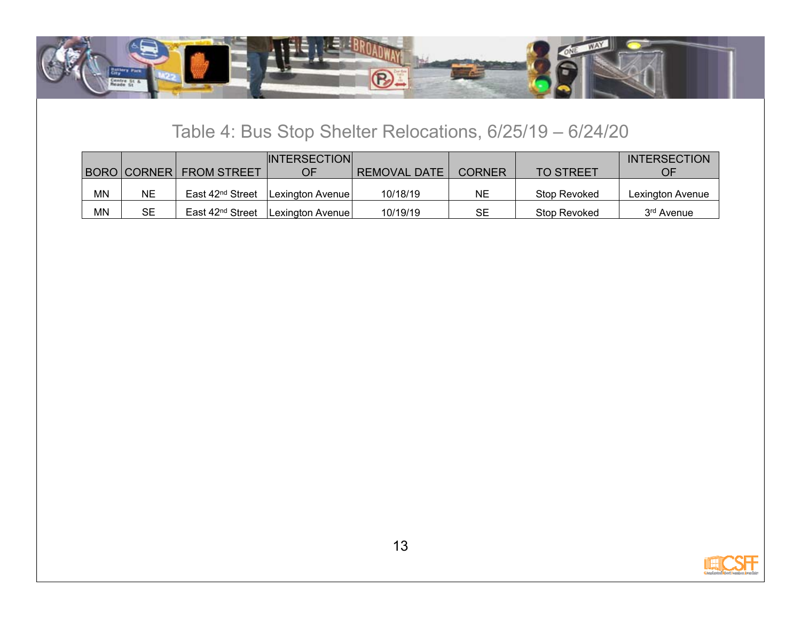

#### Table 4: Bus Stop Shelter Relocations, 6/25/19 – 6/24/20

|    |    | <b>BORO CORNER FROM STREET</b> | <b>INTERSECTION</b><br>ΩE | REMOVAL DATE | <b>CORNER</b> | <b>TO STREET</b> | <b>INTERSECTION</b>    |
|----|----|--------------------------------|---------------------------|--------------|---------------|------------------|------------------------|
| MΝ | NE | East 42 <sup>nd</sup> Street   | <b>ILexington Avenuel</b> | 10/18/19     | NE.           | Stop Revoked     | Lexington Avenue       |
| ΜN | SЕ | East 42 <sup>nd</sup> Street   | <b>ILexington Avenuel</b> | 10/19/19     | SE.           | Stop Revoked     | 3 <sup>rd</sup> Avenue |